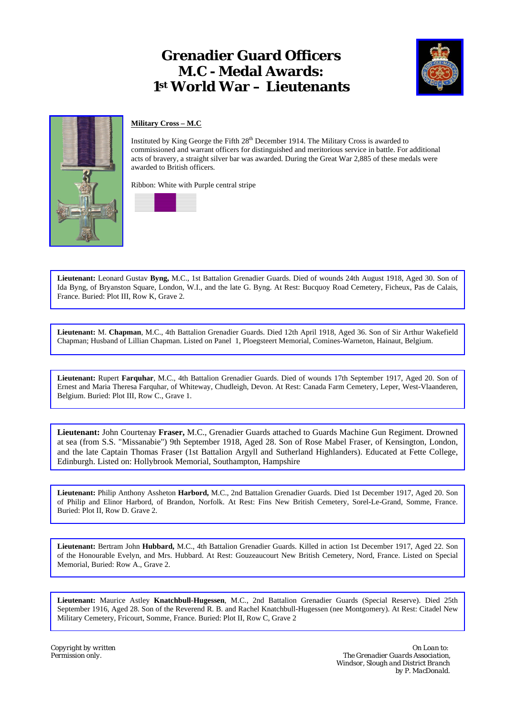## **Grenadier Guard Officers M.C - Medal Awards: 1st World War – Lieutenants**





## **Military Cross – M.C**

Instituted by King George the Fifth 28<sup>th</sup> December 1914. The Military Cross is awarded to commissioned and warrant officers for distinguished and meritorious service in battle. For additional acts of bravery, a straight silver bar was awarded. During the Great War 2,885 of these medals were awarded to British officers.

Ribbon: White with Purple central stripe



**Lieutenant:** Leonard Gustav **Byng,** M.C., 1st Battalion Grenadier Guards. Died of wounds 24th August 1918, Aged 30. Son of Ida Byng, of Bryanston Square, London, W.I., and the late G. Byng. At Rest: Bucquoy Road Cemetery, Ficheux, Pas de Calais, France. Buried: Plot III, Row K, Grave 2.

**Lieutenant:** M. **Chapman**, M.C., 4th Battalion Grenadier Guards. Died 12th April 1918, Aged 36. Son of Sir Arthur Wakefield Chapman; Husband of Lillian Chapman. Listed on Panel 1, Ploegsteert Memorial, Comines-Warneton, Hainaut, Belgium.

**Lieutenant:** Rupert **Farquhar**, M.C., 4th Battalion Grenadier Guards. Died of wounds 17th September 1917, Aged 20. Son of Ernest and Maria Theresa Farquhar, of Whiteway, Chudleigh, Devon. At Rest: Canada Farm Cemetery, Leper, West-Vlaanderen, Belgium. Buried: Plot III, Row C., Grave 1.

**Lieutenant:** John Courtenay **Fraser,** M.C., Grenadier Guards attached to Guards Machine Gun Regiment. Drowned at sea (from S.S. "Missanabie") 9th September 1918, Aged 28. Son of Rose Mabel Fraser, of Kensington, London, and the late Captain Thomas Fraser (1st Battalion Argyll and Sutherland Highlanders). Educated at Fette College, Edinburgh. Listed on: Hollybrook Memorial, Southampton, Hampshire

**Lieutenant:** Philip Anthony Assheton **Harbord,** M.C., 2nd Battalion Grenadier Guards. Died 1st December 1917, Aged 20. Son of Philip and Elinor Harbord, of Brandon, Norfolk. At Rest: Fins New British Cemetery, Sorel-Le-Grand, Somme, France. Buried: Plot II, Row D. Grave 2.

**Lieutenant:** Bertram John **Hubbard,** M.C., 4th Battalion Grenadier Guards. Killed in action 1st December 1917, Aged 22. Son of the Honourable Evelyn, and Mrs. Hubbard. At Rest: Gouzeaucourt New British Cemetery, Nord, France. Listed on Special Memorial, Buried: Row A., Grave 2.

**Lieutenant:** Maurice Astley **Knatchbull-Hugessen**, M.C., 2nd Battalion Grenadier Guards (Special Reserve). Died 25th September 1916, Aged 28. Son of the Reverend R. B. and Rachel Knatchbull-Hugessen (nee Montgomery). At Rest: Citadel New Military Cemetery, Fricourt, Somme, France. Buried: Plot II, Row C, Grave 2

*Copyright by written On Loan to:*  **The Grenadier Guards Association,**  *Windsor, Slough and District Branch by P. MacDonald.*